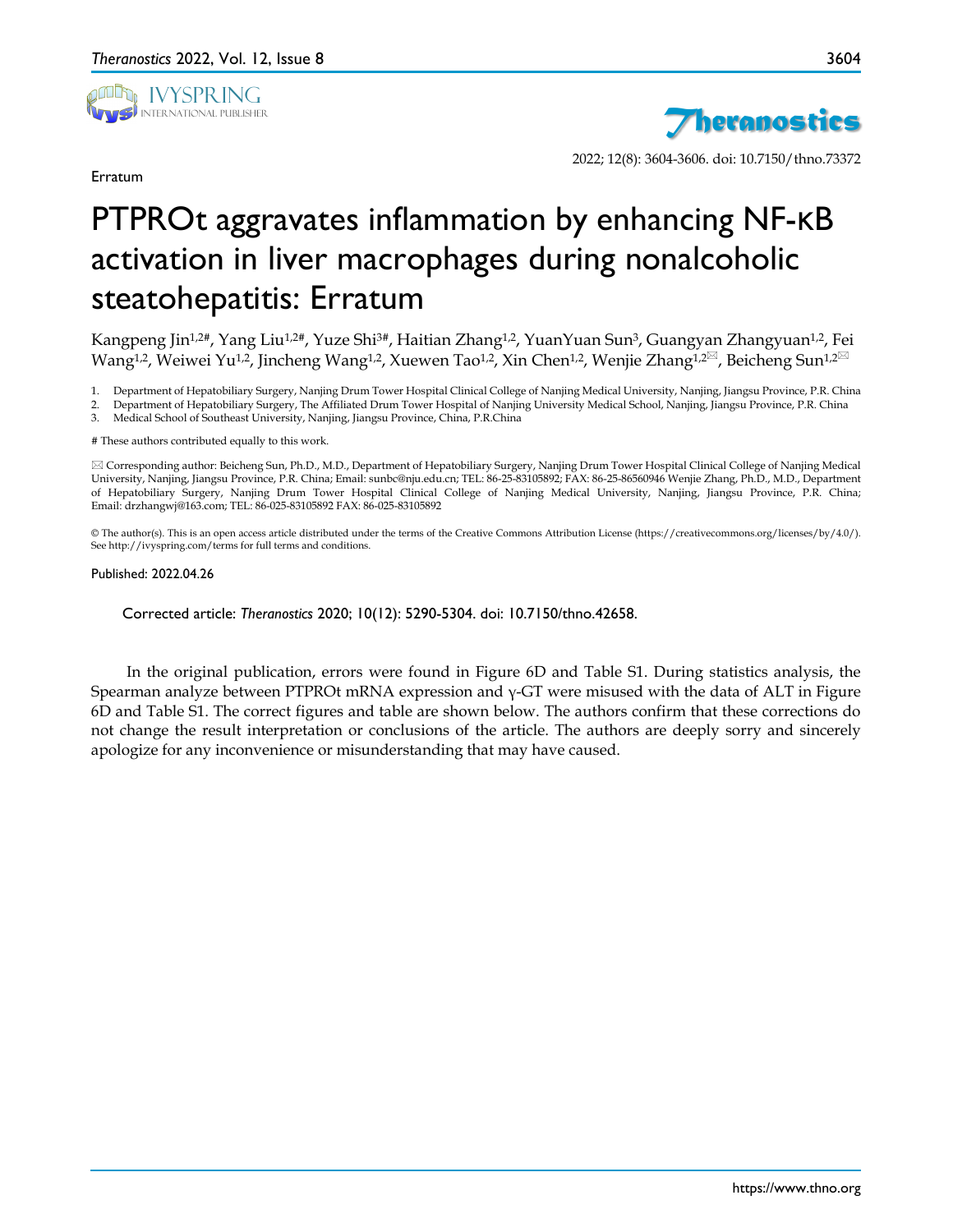

Erratum



2022; 12(8): 3604-3606. doi: 10.7150/thno.73372

## PTPROt aggravates inflammation by enhancing NF-κB activation in liver macrophages during nonalcoholic steatohepatitis: Erratum

Kangpeng Jin<sup>1,2#</sup>, Yang Liu<sup>1,2#</sup>, Yuze Shi<sup>3#</sup>, Haitian Zhang<sup>1,2</sup>, YuanYuan Sun<sup>3</sup>, Guangyan Zhangyuan<sup>1,2</sup>, Fei Wang<sup>1,2</sup>, Weiwei Yu<sup>1,2</sup>, Jincheng Wang<sup>1,2</sup>, Xuewen Tao<sup>1,2</sup>, Xin Chen<sup>1,2</sup>, Wenjie Zhang<sup>1,2⊠</sup>, Beicheng Sun<sup>1,2⊠</sup>

1. Department of Hepatobiliary Surgery, Nanjing Drum Tower Hospital Clinical College of Nanjing Medical University, Nanjing, Jiangsu Province, P.R. China

2. Department of Hepatobiliary Surgery, The Affiliated Drum Tower Hospital of Nanjing University Medical School, Nanjing, Jiangsu Province, P.R. China<br>3. Medical School of Southeast University. Nanjing, Jiangsu Province, C 3. Medical School of Southeast University, Nanjing, Jiangsu Province, China, P.R.China

# These authors contributed equally to this work.

 Corresponding author: Beicheng Sun, Ph.D., M.D., Department of Hepatobiliary Surgery, Nanjing Drum Tower Hospital Clinical College of Nanjing Medical University, Nanjing, Jiangsu Province, P.R. China; Email: sunbc@nju.edu.cn; TEL: 86-25-83105892; FAX: 86-25-86560946 Wenjie Zhang, Ph.D., M.D., Department of Hepatobiliary Surgery, Nanjing Drum Tower Hospital Clinical College of Nanjing Medical University, Nanjing, Jiangsu Province, P.R. China; Email: drzhangwj@163.com; TEL: 86-025-83105892 FAX: 86-025-83105892

© The author(s). This is an open access article distributed under the terms of the Creative Commons Attribution License (https://creativecommons.org/licenses/by/4.0/). See http://ivyspring.com/terms for full terms and conditions.

## Published: 2022.04.26

Corrected article: *Theranostics* 2020; 10(12): 5290-5304. doi: 10.7150/thno.42658.

In the original publication, errors were found in Figure 6D and Table S1. During statistics analysis, the Spearman analyze between PTPROt mRNA expression and γ-GT were misused with the data of ALT in Figure 6D and Table S1. The correct figures and table are shown below. The authors confirm that these corrections do not change the result interpretation or conclusions of the article. The authors are deeply sorry and sincerely apologize for any inconvenience or misunderstanding that may have caused.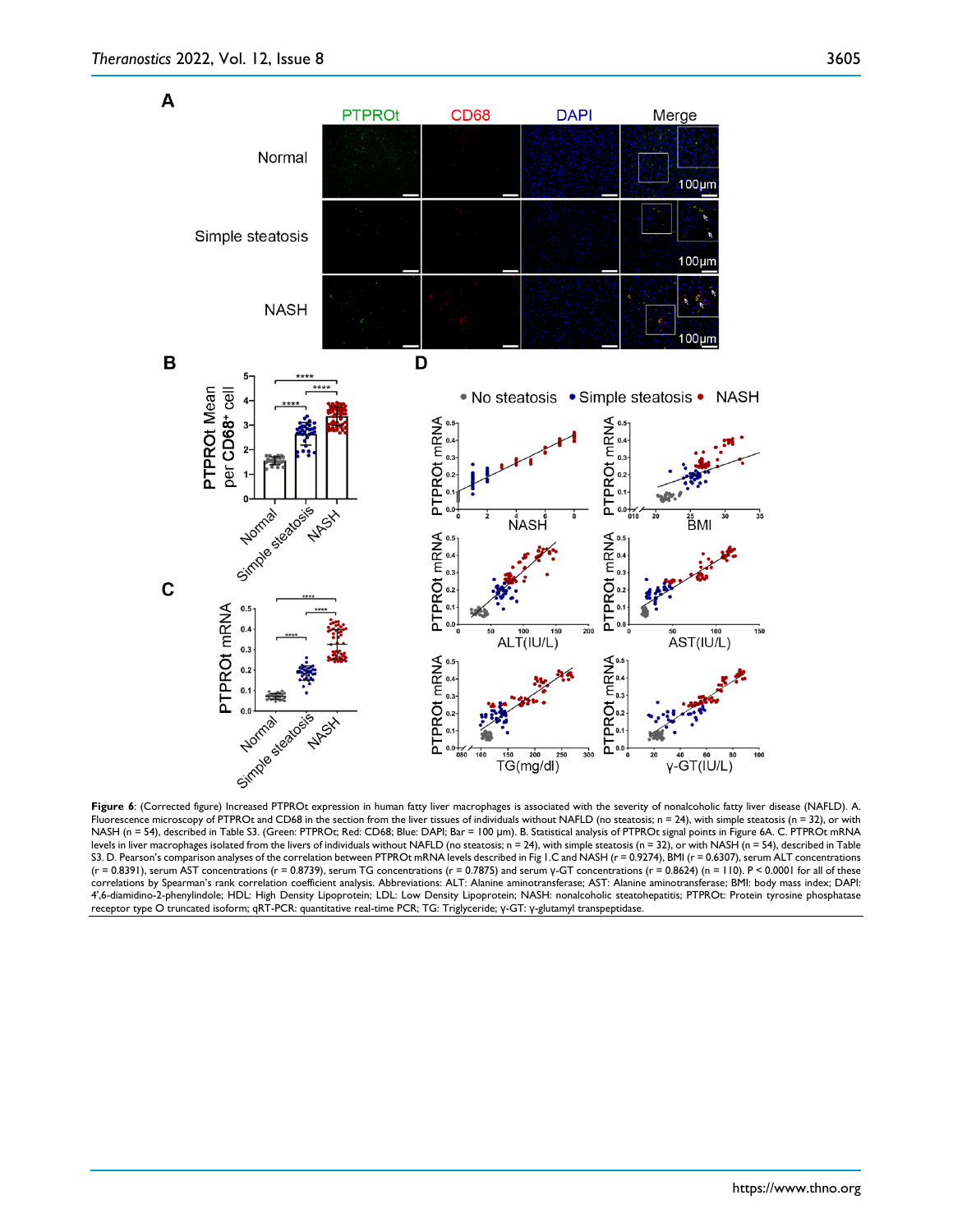

Fluorescence microscopy of PTPROt and CD68 in the section from the liver tissues of individuals without NAFLD (no steatosis;  $n = 24$ ), with simple steatosis (n = 32), or with NASH (n = 54), described in Table S3. (Green: PTPROt; Red: CD68; Blue: DAPI; Bar = 100 μm). B. Statistical analysis of PTPROt signal points in Figure 6A. C. PTPROt mRNA levels in liver macrophages isolated from the livers of individuals without NAFLD (no steatosis; n = 24), with simple steatosis (n = 32), or with NASH (n = 54), described in Table S3. D. Pearson's comparison analyses of the correlation between PTPROt mRNA levels described in Fig 1.C and NASH (r = 0.9274), BMI (r = 0.6307), serum ALT concentrations (r = 0.8391), serum AST concentrations (r = 0.8739), serum TG concentrations (r = 0.7875) and serum y-GT concentrations (r = 0.8624) (n = 110). P < 0.0001 for all of these correlations by Spearman's rank correlation coefficient analysis. Abbreviations: ALT: Alanine aminotransferase; AST: Alanine aminotransferase; BMI: body mass index; DAPI: 4',6-diamidino-2-phenylindole; HDL: High Density Lipoprotein; LDL: Low Density Lipoprotein; NASH: nonalcoholic steatohepatitis; PTPROt: Protein tyrosine phosphatase receptor type O truncated isoform; qRT-PCR: quantitative real-time PCR; TG: Triglyceride; γ-GT: γ-glutamyl transpeptidase.